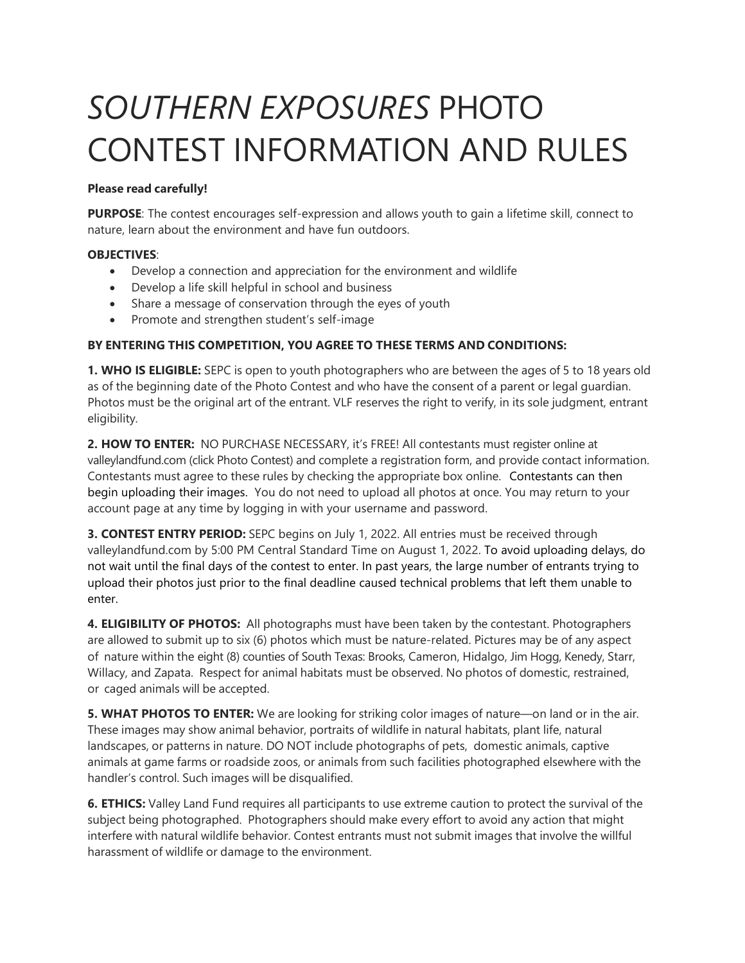# *SOUTHERN EXPOSURES* PHOTO CONTEST INFORMATION AND RULES

## **Please read carefully!**

**PURPOSE**: The contest encourages self-expression and allows youth to gain a lifetime skill, connect to nature, learn about the environment and have fun outdoors.

### **OBJECTIVES**:

- Develop a connection and appreciation for the environment and wildlife
- Develop a life skill helpful in school and business
- Share a message of conservation through the eyes of youth
- Promote and strengthen student's self-image

## **BY ENTERING THIS COMPETITION, YOU AGREE TO THESE TERMS AND CONDITIONS:**

**1. WHO IS ELIGIBLE:** SEPC is open to youth photographers who are between the ages of 5 to 18 years old as of the beginning date of the Photo Contest and who have the consent of a parent or legal guardian. Photos must be the original art of the entrant. VLF reserves the right to verify, in its sole judgment, entrant eligibility.

**2. HOW TO ENTER:** NO PURCHASE NECESSARY, it's FREE! All contestants must register online at valleylandfund.com (click Photo Contest) and complete a registration form, and provide contact information. Contestants must agree to these rules by checking the appropriate box online. Contestants can then begin uploading their images. You do not need to upload all photos at once. You may return to your account page at any time by logging in with your username and password.

**3. CONTEST ENTRY PERIOD:** SEPC begins on July 1, 2022. All entries must be received through valleylandfund.com by 5:00 PM Central Standard Time on August 1, 2022. To avoid uploading delays, do not wait until the final days of the contest to enter. In past years, the large number of entrants trying to upload their photos just prior to the final deadline caused technical problems that left them unable to enter.

**4. ELIGIBILITY OF PHOTOS:** All photographs must have been taken by the contestant. Photographers are allowed to submit up to six (6) photos which must be nature-related. Pictures may be of any aspect of nature within the eight (8) counties of South Texas: Brooks, Cameron, Hidalgo, Jim Hogg, Kenedy, Starr, Willacy, and Zapata. Respect for animal habitats must be observed. No photos of domestic, restrained, or caged animals will be accepted.

**5. WHAT PHOTOS TO ENTER:** We are looking for striking color images of nature—on land or in the air. These images may show animal behavior, portraits of wildlife in natural habitats, plant life, natural landscapes, or patterns in nature. DO NOT include photographs of pets, domestic animals, captive animals at game farms or roadside zoos, or animals from such facilities photographed elsewhere with the handler's control. Such images will be disqualified.

**6. ETHICS:** Valley Land Fund requires all participants to use extreme caution to protect the survival of the subject being photographed. Photographers should make every effort to avoid any action that might interfere with natural wildlife behavior. Contest entrants must not submit images that involve the willful harassment of wildlife or damage to the environment.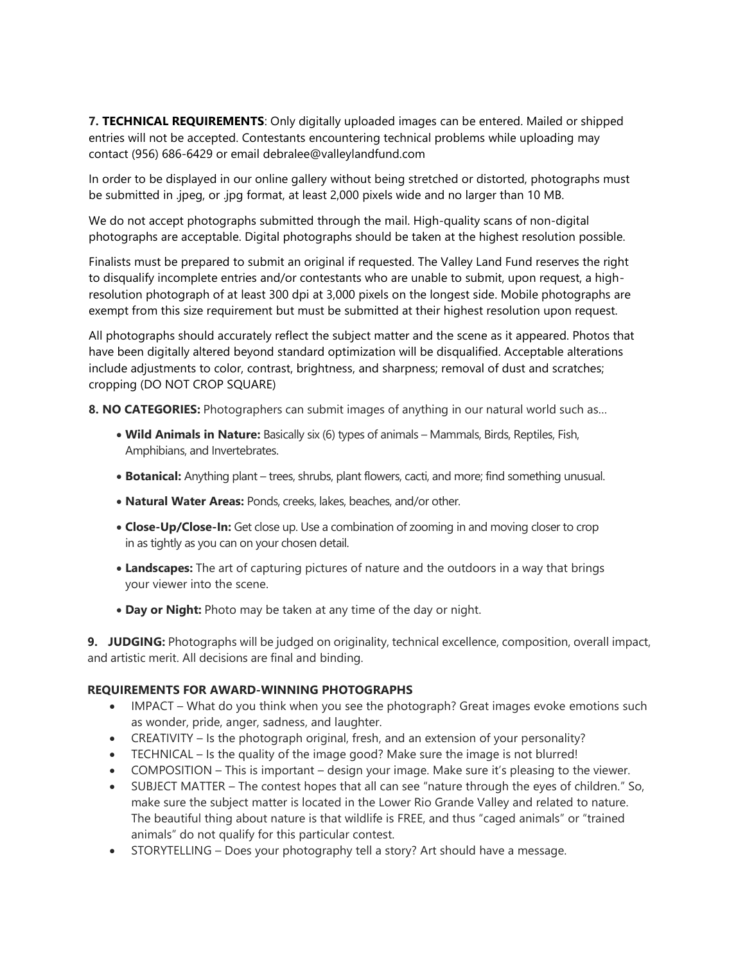**7. TECHNICAL REQUIREMENTS**: Only digitally uploaded images can be entered. Mailed or shipped entries will not be accepted. Contestants encountering technical problems while uploading may contact (956) 686-6429 or email debralee@valleylandfund.com

In order to be displayed in our online gallery without being stretched or distorted, photographs must be submitted in .jpeg, or .jpg format, at least 2,000 pixels wide and no larger than 10 MB.

We do not accept photographs submitted through the mail. High-quality scans of non-digital photographs are acceptable. Digital photographs should be taken at the highest resolution possible.

Finalists must be prepared to submit an original if requested. The Valley Land Fund reserves the right to disqualify incomplete entries and/or contestants who are unable to submit, upon request, a highresolution photograph of at least 300 dpi at 3,000 pixels on the longest side. Mobile photographs are exempt from this size requirement but must be submitted at their highest resolution upon request.

All photographs should accurately reflect the subject matter and the scene as it appeared. Photos that have been digitally altered beyond standard optimization will be disqualified. Acceptable alterations include adjustments to color, contrast, brightness, and sharpness; removal of dust and scratches; cropping (DO NOT CROP SQUARE)

**8. NO CATEGORIES:** Photographers can submit images of anything in our natural world such as…

- **Wild Animals in Nature:** Basically six (6) types of animals Mammals, Birds, Reptiles, Fish, Amphibians, and Invertebrates.
- **Botanical:** Anything plant trees, shrubs, plant flowers, cacti, and more; find something unusual.
- **Natural Water Areas:** Ponds, creeks, lakes, beaches, and/or other.
- **Close-Up/Close-In:** Get close up. Use a combination of zooming in and moving closer to crop in as tightly as you can on your chosen detail.
- **Landscapes:** The art of capturing pictures of nature and the outdoors in a way that brings your viewer into the scene.
- **Day or Night:** Photo may be taken at any time of the day or night.

**9. JUDGING:** Photographs will be judged on originality, technical excellence, composition, overall impact, and artistic merit. All decisions are final and binding.

#### **REQUIREMENTS FOR AWARD-WINNING PHOTOGRAPHS**

- IMPACT What do you think when you see the photograph? Great images evoke emotions such as wonder, pride, anger, sadness, and laughter.
- CREATIVITY Is the photograph original, fresh, and an extension of your personality?
- TECHNICAL Is the quality of the image good? Make sure the image is not blurred!
- COMPOSITION This is important design your image. Make sure it's pleasing to the viewer.
- SUBJECT MATTER The contest hopes that all can see "nature through the eyes of children." So, make sure the subject matter is located in the Lower Rio Grande Valley and related to nature. The beautiful thing about nature is that wildlife is FREE, and thus "caged animals" or "trained animals" do not qualify for this particular contest.
- STORYTELLING Does your photography tell a story? Art should have a message.